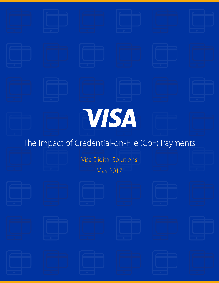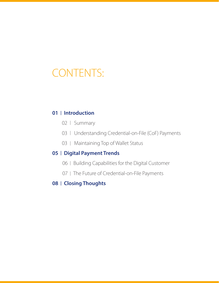# CONTENTS:

### **01 Introduction**

- 02 Summary
- 03 | Understanding Credential-on-File (CoF) Payments
- 03 | Maintaining Top of Wallet Status

### **05 | Digital Payment Trends**

- 06 | Building Capabilities for the Digital Customer
- 07 | The Future of Credential-on-File Payments

### **08 | Closing Thoughts**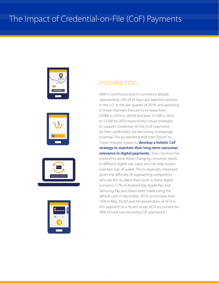







# Introduction

With e-commerce and m-commerce already representing 24% of all Visa card payment volume in the U.S. in the last quarter of 2016<sup>1</sup> and spending in those channels forecast to increase from \$398B in 2016 to \$692B and from \$116B in 2016 to \$336B by 2020 respectively,<sup>2</sup> issuer strategies to support Credential-on-File (CoF) payments for their cardholders are becoming increasingly essential. The accelerating shift from "bricks" to "clicks" requires issuers to **develop a holistic CoF strategy to maintain their long-term consumer relevance in digital payments.** Visa Checkout has evolved to serve these changing consumer needs in different digital use-cases and can help issuers maintain top-of-wallet. This is especially important given the difficulty of supplanting competitors who are first to place their cards in these digital scenarios (77% of Android Pay, Apple Pay, and Samsung Pay purchases were made using the default card in December 2016, an increase from 70% in May 2016)<sup>3</sup> and the penetration of ACH in this segment (in a recent study, ACH accounted for 38% of total non-recurring CoF payments).4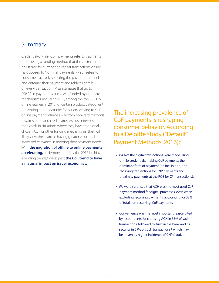### Summary

Credential-on-File (CoF) payments refer to payments made using a funding method that the customer has stored for current and repeat transactions online (as opposed to "Form Fill payments" which refers to consumers actively selecting the payment method and entering their payment and address details on every transaction). Visa estimates that up to \$98.3B in payment volume was funded by non-card mechanisms, including ACH, among the top 500 U.S. online retailers in 2015 for certain product categories,<sup>5</sup> presenting an opportunity for issuers seeking to shift online payment volume away from non-card methods towards debit and credit cards. As customers use their cards in situations where they have traditionally chosen ACH or other funding mechanisms, they will likely view their card as having greater value and increased relevance in meeting their payment needs. With **the migration of offline to online payments accelerating,** as demonstrated by the 2016 holiday spending trends,<sup>6</sup> we expect **the CoF trend to have a material impact on issuer economics.** 

The increasing prevalence of CoF payments is reshaping consumer behavior. According to a Deloitte study ("Default" Payment Methods, 2016):7

- 84% of the digital transactions were made using on-file credentials, making CoF payments the dominant form of payment (online, in-app, and recurring transactions for CNP payments and proximity payments at the POS for CP transactions).
- We were surprised that ACH was the most used CoF payment method for digital purchases, even when excluding recurring payments, accounting for 38% of total non-recurring CoF payments.
- Convenience was the most important reason cited by respondents for choosing ACH in 55% of such transactions, followed by trust in the bank and its security in 29% of such transactions,<sup>8</sup> which may be driven by higher incidence of CNP fraud.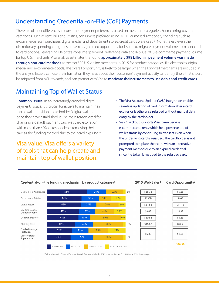# Understanding Credential-on-File (CoF) Payments

There are distinct differences in consumer payment preferences based on merchant categories. For recurring payment categories, such as rent, bills and utilities, consumers preferred using ACH. For most discretionary spending, such as e-commerce retail purchases, digital media, and department stores, credit cards were used.<sup>9</sup> Nonetheless, even the discretionary spending categories present a significant opportunity for issuers to migrate payment volume from non-card to card options. Leveraging Deloitte's consumer payment preference data and IR 500's 2015 e-commerce payment volume for top U.S. merchants, Visa analysis estimates that up to **approximately \$98 billion in payment volume was made through non-card methods** at the top 500 U.S. online merchants in 2015 for product categories like electronics, digital media, and e-commerce goods. The overall opportunity is likely to be larger when the long-tail merchants are included in the analysis. Issuers can use the information they have about their customers' payment activity to identify those that should be migrated from ACH to cards, and can partner with Visa to **motivate their customers to use debit and credit cards.** 

# Maintaining Top of Wallet Status

**Common issues:** In an increasingly crowded digital payments space, it is crucial for issuers to maintain their top of wallet position in cardholders' digital wallets once they have established it. The main reason cited for changing a default payment card was card expiration, with more than 40% of respondents removing their card as the funding method due to their card expiring.10

# Visa value: Visa offers a variety of tools that can help create and maintain top of wallet position:

- The Visa Account Updater (VAU) integration enables seamless updating of card information after a card expires or is otherwise reissued without manual data entry by the cardholder.
- Visa Checkout supports Visa Token Service e-commerce tokens, which help preserve top of wallet status by continuing to transact even when the underlying card is reissued. The cardholder is not prompted to replace their card with an alternative payment method due to an expired credential since the token is mapped to the reissued card.



#### Credential-on-File funding mechanism by product category<sup>1</sup>

#### 2015 Web Sales<sup>2</sup>

#### Card Opportunity<sup>3</sup>

1Deloitte Center for Financial Services, "Default Payment Methods", 2016; <sup>2</sup>Internet Retailer, Top 500 Guide, 2016; <sup>3</sup>Visa Analysis.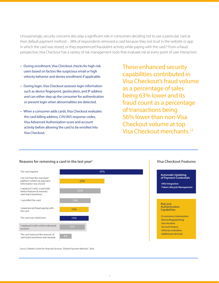Unsurprisingly, security concerns also play a significant role in consumers deciding not to use a particular card as their default payment method – 38% of respondents removed a card because they lost trust in the website or app in which the card was stored, or they experienced fraudulent activity while paying with the card.<sup>11</sup> From a fraud perspective, Visa Checkout has a variety of risk management tools that evaluate risk at every point of user interaction:

- During enrollment, Visa Checkout checks for high-risk users based on factors like suspicious email or high velocity behavior and denies enrollment if applicable.
- During login, Visa Checkout assesses login information such as device fingerprint, geolocation, and IP address and can either step up the consumer for authentication or prevent login when abnormalities are detected.
- When a consumer adds cards, Visa Checkout evaluates the card billing address, CVV/AVS response codes, Visa Advanced Authorization score and account activity before allowing the card to be enrolled into Visa Checkout.

These enhanced security capabilities contributed in Visa Checkout's fraud volume as a percentage of sales being 63% lower and its fraud count as a percentage of transactions being 56% lower than non-Visa Checkout volume at top Visa Checkout merchants.12



Reasons for removing a card in the last year<sup>1</sup>

Source: Deloitte Center for Financial Services, "Default Payment Methods", 2016.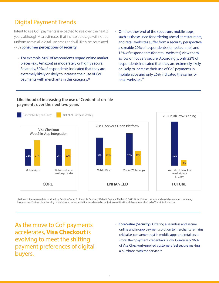# Digital Payment Trends

Intent to use CoF payments is expected to rise over the next 2 years, although Visa estimates that increased usage will not be uniform across all digital use cases and will likely be correlated with **consumer perceptions of security.** 

- For example, 96% of respondents regard online market places (e.g. Amazon) as moderately or highly secure. Relatedly, 50% of respondents indicated that they are extremely likely or likely to increase their use of CoF payments with merchants in this category.13
- On the other end of the spectrum, mobile apps, such as those used for ordering ahead at restaurants, and retail websites suffer from a security perspective: a sizeable 20% of respondents (for restaurants) and 15% of respondents (for retail websites) view them as low or not very secure. Accordingly, only 22% of respondents indicated that they are extremely likely or likely to increase their use of CoF payments in mobile apps and only 26% indicated the same for retail websites.<sup>14</sup>

#### Likelihood of increasing the use of Credential-on-file payments over the next two years



Likelihood of future use data provided by Deloitte Center for Financial Services, "Default Payment Methods", 2016. Note: Future concepts and models are under continuing development. Features, functionality, schedules and implementation details may be subject to modification, delays or cancellation by Visa at its discretion.

As the move to CoF payments accelerates, **Visa Checkout** is evolving to meet the shifting payment preferences of digital buyers.

 • **Core Value (Security):** Offering a seamless and secure online and in-app payment solution to merchants remains critical as consumer trust in mobile apps and retailers to store their payment credentials is low. Conversely, 96% of Visa Checkout-enrolled customers feel secure making a purchase with the service.<sup>15</sup>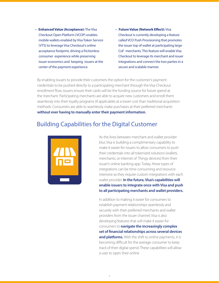- **Enhanced Value (Acceptance):** The Visa Checkout Open Platform (VCOP) enables mobile wallets enabled by Visa Token Service (VTS) to leverage Visa Checkout's online acceptance footprint, driving a frictionless consumer experience while preserving issuer economics and keeping issuers at the center of the payment experience.
- **Future Value (Network Effect):** Visa Checkout is currently developing a feature called VCO Push Provisioning that promotes the issuer top of wallet at participating large CoF merchants. This feature will enable Visa Checkout to leverage its merchant and issuer integrations and connect the two parties in a secure and scalable manner.

By enabling issuers to provide their customers the option for the customer's payment credentials to be pushed directly to a participating merchant through the Visa Checkout enrollment flow, issuers ensure their cards will be the funding source for future spend at the merchant. Participating merchants are able to acquire new customers and enroll them seamlessly into their loyalty programs (if applicable) at a lower cost than traditional acquisition methods. Consumers are able to seamlessly make purchases at their preferred merchants **without ever having to manually enter their payment information.** 

# Building Capabilities for the Digital Customer



As the lines between merchant and wallet provider blur, Visa is building a complimentary capability to make it easier for issuers to allow consumers to push their credentials into all tokenized solutions (wallets, merchants, or Internet of Things devices) from their issuer's online banking app. Today, these types of integrations can be time-consuming and resource intensive as they require custom integrations with each wallet provider. **In the future, Visa's capabilities will enable issuers to integrate once with Visa and push to all participating merchants and wallet providers.** 

In addition to making it easier for consumers to establish payment relationships seamlessly and securely with their preferred merchants and wallet providers from the issuer channel, Visa is also developing features that will make it easier for consumers to **navigate the increasingly complex set of financial relationships across several devices**  and platforms. With the shift to online payments, it is becoming difficult for the average consumer to keep track of their digital spend. These capabilities will allow a user to open their online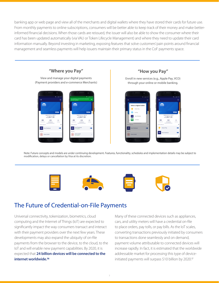banking app or web page and view all of the merchants and digital wallets where they have stored their cards for future use. From monthly payments to online subscriptions, consumers will be better able to keep track of their money and make betterinformed financial decisions. When those cards are reissued, the issuer will also be able to show the consumer where their card has been updated automatically (via VAU or Token Lifecycle Management) and where they need to update their card information manually. Beyond investing in marketing, exposing features that solve customers' pain points around financial management and seamless payments will help issuers maintain their primary status in the CoF payments space.



Note: Future concepts and models are under continuing development. Features, functionality, schedules and implementation details may be subject to modification, delays or cancellation by Visa at its discretion.



### The Future of Credential-on-File Payments

Universal connectivity, tokenization, biometrics, cloud computing and the Internet of Things (IoT) are expected to significantly impact the way consumers transact and interact with their payment providers over the next few years. These developments may also expand the ubiquity of on-file payments from the browser to the device, to the cloud, to the IoT and will enable new payment capabilities. By 2020, it is expected that **24 billion devices will be connected to the internet worldwide.16**

Many of these connected devices such as appliances, cars, and utility meters will have a credential on-file to place orders, pay tolls, or pay bills. As the IoT scales, converting transactions previously initiated by consumers to transactions done seamlessly and on demand, payment volume attributable to connected devices will increase rapidly. In fact, it is estimated that the worldwide addressable market for processing this type of deviceinitiated payments will surpass \$10 billion by 2020.17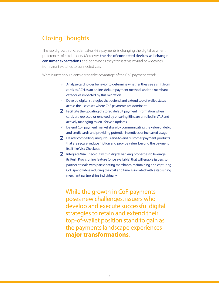### Closing Thoughts

The rapid growth of Credential-on-File payments is changing the digital payment preferences of cardholders. Moreover, **the rise of connected devices will change consumer expectations** and behavior as they transact via myriad new devices, from smart watches to connected cars.

What issuers should consider to take advantage of the CoF payment trend:

- $\triangleright$  Analyze cardholder behavior to determine whether they see a shift from cards to ACH as an online default payment method and the merchant categories impacted by this migration
- $\triangledown$  Develop digital strategies that defend and extend top of wallet status across the use cases where CoF payments are dominant
- $\vee$  Facilitate the updating of stored default payment information when cards are replaced or renewed by ensuring BINs are enrolled in VAU and actively managing token lifecycle updates
- $\triangleright$  Defend CoF payment market share by communicating the value of debit and credit cards and providing potential incentives or increased usage
- $\nabla$  Deliver compelling, ubiquitous end-to-end customer payment products that are secure, reduce friction and provide value beyond the payment itself like Visa Checkout
- $\triangleright$  Integrate Visa Checkout within digital banking properties to leverage its Push Provisioning feature (once available) that will enable issuers to partner at scale with participating merchants, maintaining and capturing CoF spend while reducing the cost and time associated with establishing merchant partnerships individually

While the growth in CoF payments poses new challenges, issuers who develop and execute successful digital strategies to retain and extend their top-of-wallet position stand to gain as the payments landscape experiences **major transformations**.